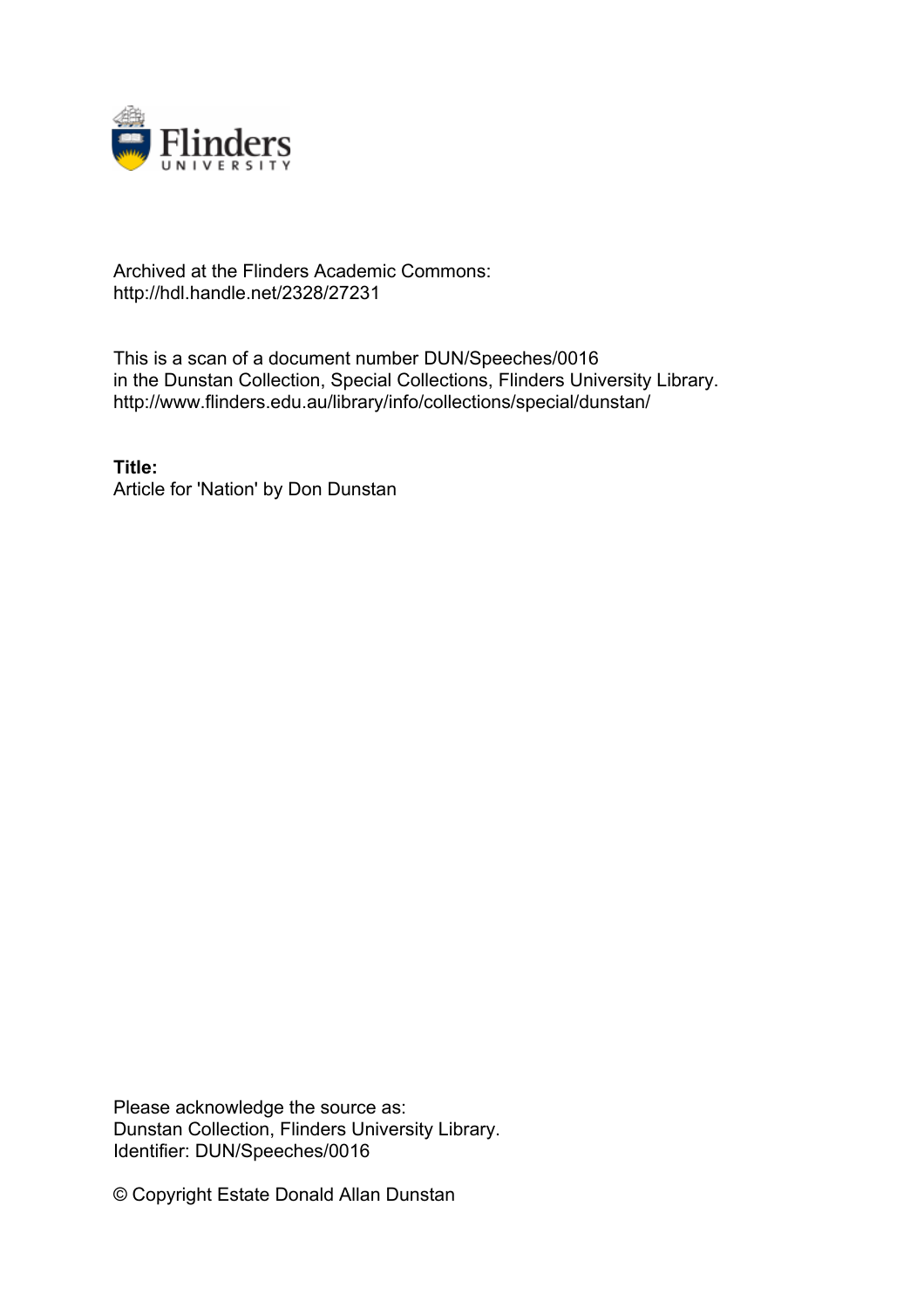

## Archived at the Flinders Academic Commons: http://hdl.handle.net/2328/27231

This is a scan of a document number DUN/Speeches/0016 in the Dunstan Collection, Special Collections, Flinders University Library. http://www.flinders.edu.au/library/info/collections/special/dunstan/

**Title:** Article for 'Nation' by Don Dunstan

Please acknowledge the source as: Dunstan Collection, Flinders University Library. Identifier: DUN/Speeches/0016

© Copyright Estate Donald Allan Dunstan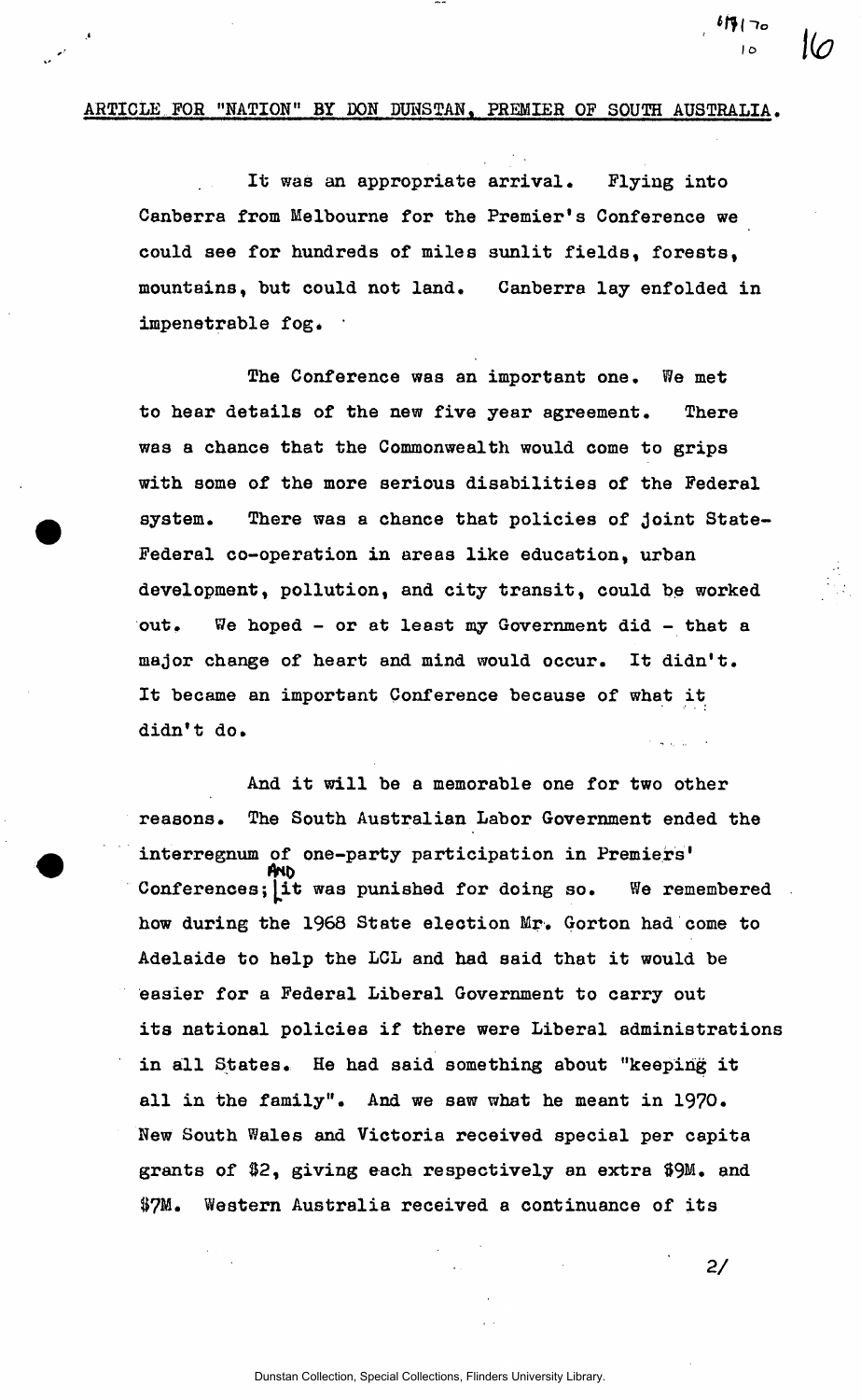## ARTICLE FOR "NATION" BY DON DUNSTAN, PREMIER OF SOUTH AUSTRALIA.

*J* 

It was an appropriate arrival. Flying into Canberra from Melbourne for the Premier's Conference we could see for hundreds of miles sunlit fields, forests, mountains, but could not land. Canberra lay enfolded in impenetrable fog.  $\cdot$ 

The Conference was an important one. We met to hear details of the new five year agreement. There was a chance that the Commonwealth would come to grips with some of the more serious disabilities of the Federal system. There was a chance that policies of joint State-Federal co-operation in areas like education, urban development, pollution, and city transit, could be worked out. We hoped - or at least my Government did - that a major change of heart and mind would occur. It didn't. It became an important Conference because of what it didn't do.

And it will be a memorable one for two other reasons. The South Australian Labor Government ended the interregnum of one-party participation in Premiers' Conferences; it was punished for doing so. We remembered how during the 1968 State election Mr. Gorton had come to Adelaide to help the LCL and had said that it would be easier for a Federal Liberal Government to carry out its national policies if there were Liberal administrations in all States. He had said something about "keeping it all in the family". And we saw what he meant in 1970. New South Wales and Victoria received special per capita grants of &2, giving each respectively an extra \$9M. and &7M. Western Australia received a continuance of its

**2/** 

*Wl-to* 

**l o**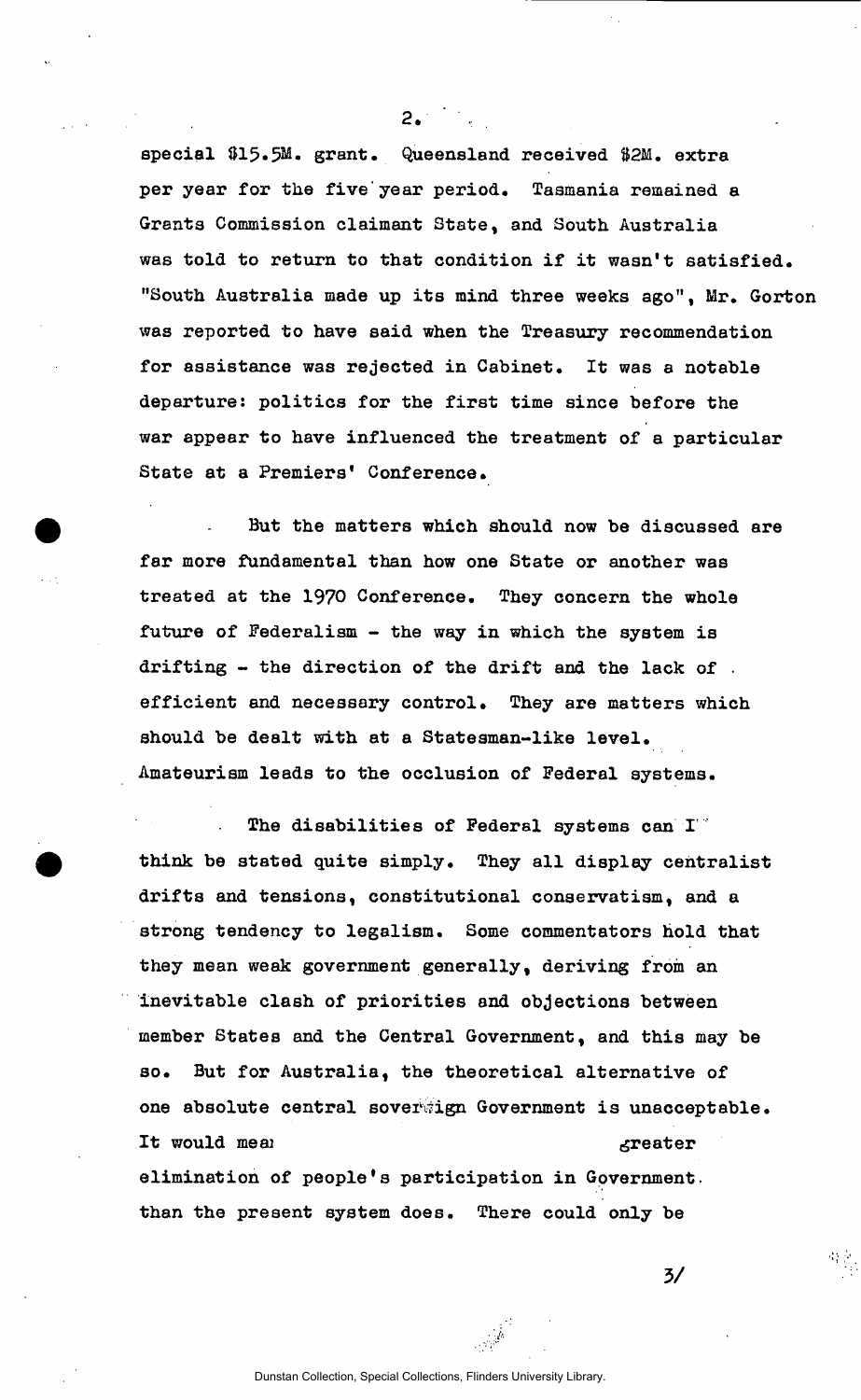special \$15.5M. grant. Queensland received \$2M. extra per year for the five'year period. Tasmania remained a Grants Commission claimant State, and South Australia was told to return to that condition if it wasn't satisfied. "South Australia made up its mind three weeks ago", Mr. Gorton was reported to have said when the Treasury recommendation for assistance was rejected in Cabinet. It was a notable departure: politics for the first time since before the war appear to have influenced the treatment of a particular State at a Premiers' Conference.

 $2.77$ 

But the matters which should now be discussed are far more fundamental than how one State or another was treated at the 1970 Conference. They concern the whole future of Federalism - the way in which the system is drifting - the direction of the drift and the lack of . efficient and necessary control. They are matters which should be dealt with at a Statesman-like level. Amateurism leads to the occlusion of Federal systems.

The disabilities of Federal systems can I" think be stated quite simply. They all display centralist drifts and tensions, constitutional conservatism, and a strong tendency to legalism. Some commentators hold that they mean weak government generally, deriving from an inevitable clash of priorities and objections between member States and the Central Government, and this may be so. But for Australia, the theoretical alternative of one absolute central soverwign Government is unacceptable. It would meal stream and the second stream of the second stream stream and stream stream of the stream stream of the stream stream stream stream stream stream stream stream stream stream stream stream stream stream stream elimination of people's participation in Government, than the present system does. There could only be

**3/**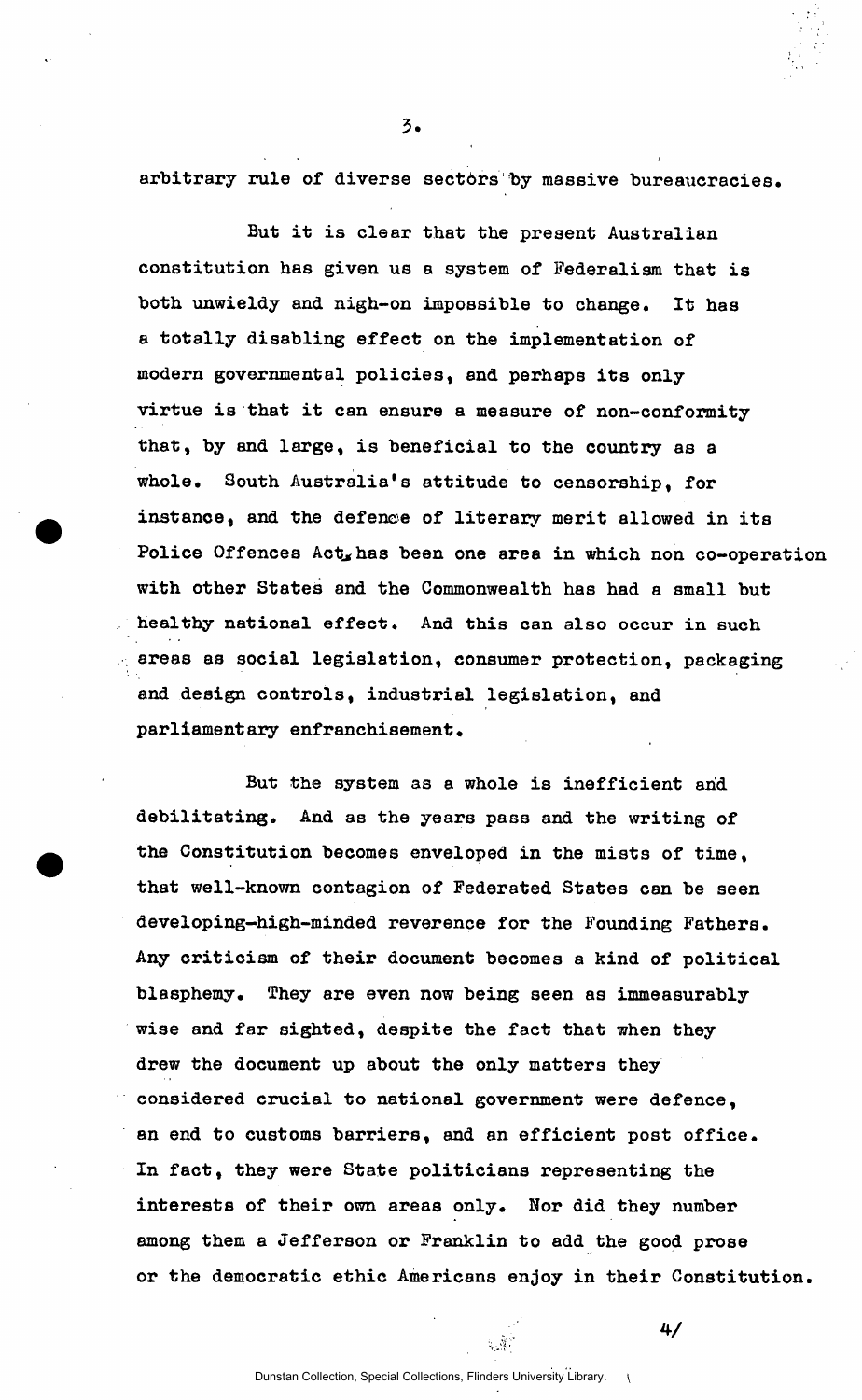arbitrary rule of diverse sectors by massive bureaucracies.

But it is clear that the present Australian constitution has given us a system of Federalism that is both unwieldy and nigh-on impossible to change. It has a totally disabling effect on the implementation of modern governmental policies, and perhaps its only virtue is that it can ensure a measure of non-conformity that, by and large, is beneficial to the country as a whole. South Australia's attitude to censorship, for instance, and the defence of literary merit allowed in its Police Offences Act, has been one area in which non co-operation with other States and the Commonwealth has had a small but healthy national effect. And this can also occur in such areas as social legislation, consumer protection, packaging and design controls, industrial legislation, and parliamentary enfranchisement.

But the system as a whole is inefficient and debilitating. And as the years pass and the writing of the Constitution becomes enveloped in the mists of time, that well-known contagion of Federated States can be seen developing-high-minded reverence for the Founding Fathers. Any criticism of their document becomes a kind of political blasphemy. They are even now being seen as immeasurably wise and far sighted, despite the fact that when they drew the document up about the only matters they considered crucial to national government were defence, an end to customs barriers, and an efficient post office. In fact, they were State politicians representing the interests of their own areas only. Nor did they number among them a Jefferson or Franklin to add the good prose or the democratic ethic Americans enjoy in their Constitution.

 $4/$ 

Dunstan Collection, Special Collections, Flinders University Library. \

 $\mathbb{R}^d$ 

 $\overline{3}$ .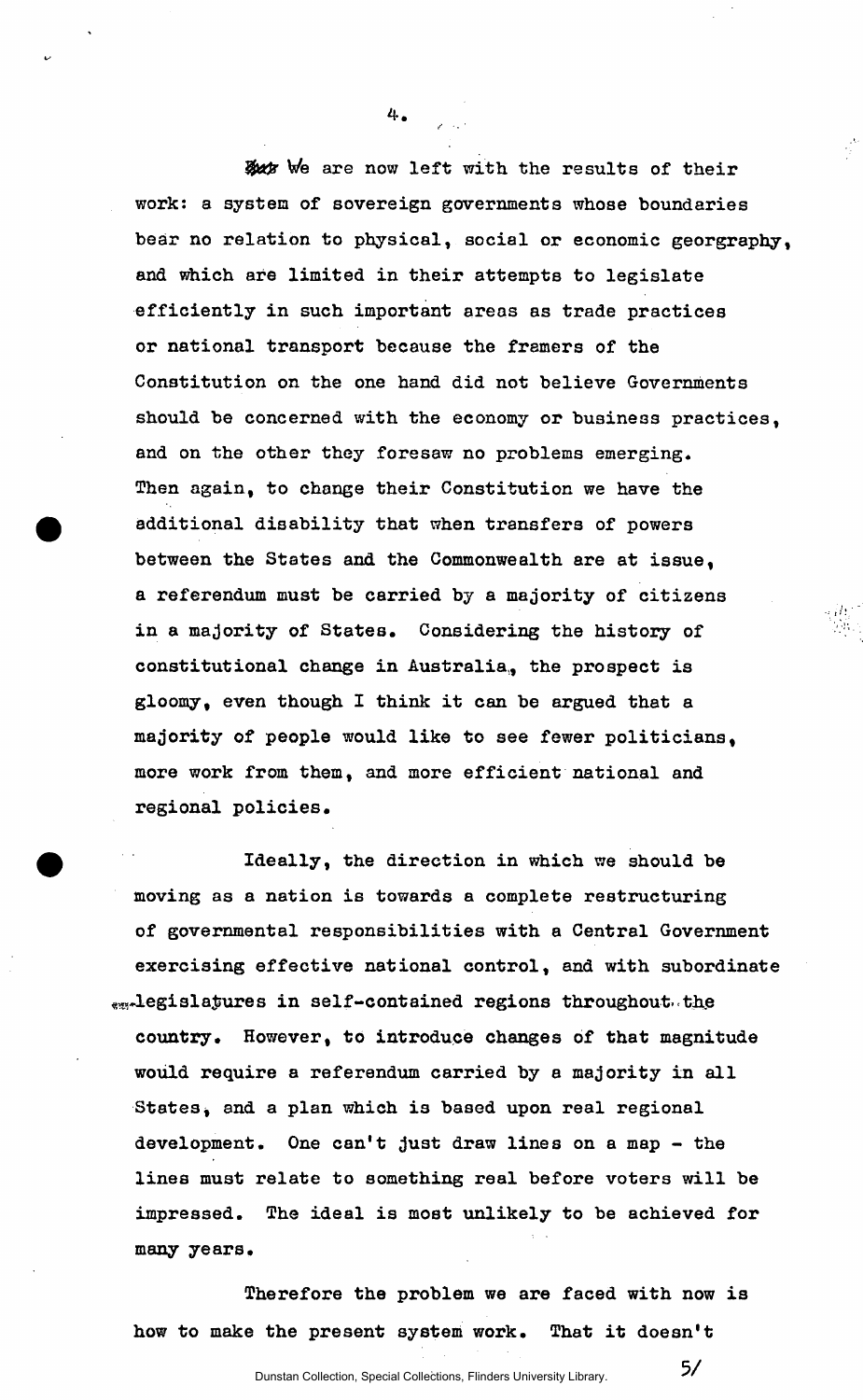But We are now left with the results of their work: a system of sovereign governments whose boundaries bear no relation to physical, social or economic georgraphy, and which are limited in their attempts to legislate efficiently in such important areas as trade practices or national transport because the framers of the Constitution on the one hand did not believe Governments should be concerned with the economy or business practices, and on the other they foresaw no problems emerging. Then again, to change their Constitution we have the additional disability that when transfers of powers between the States and the Commonwealth are at issue, a referendum must be carried by a majority of citizens in a majority of States. Considering the history of constitutional change in Australia, the prospect is gloomy, even though I think it can be argued that a majority of people would like to see fewer politicians, more work from them, and more efficient national and regional policies.

4.

Ideally, the direction in which we should be moving as a nation is towards a complete restructuring of governmental responsibilities with a Central Government exercising effective national control, and with subordinate ra-legisiazures in self-contained regions throughout, the country. However, to introduce changes of that magnitude would require a referendum carried by a majority in all States, and a plan which is based upon real regional development. One can't just draw lines on a map - the lines must relate to something real before voters will be impressed. The ideal is most unlikely to be achieved for many years.

Therefore the problem we are faced with now is how to make the present system work. That it doesn't

**5/**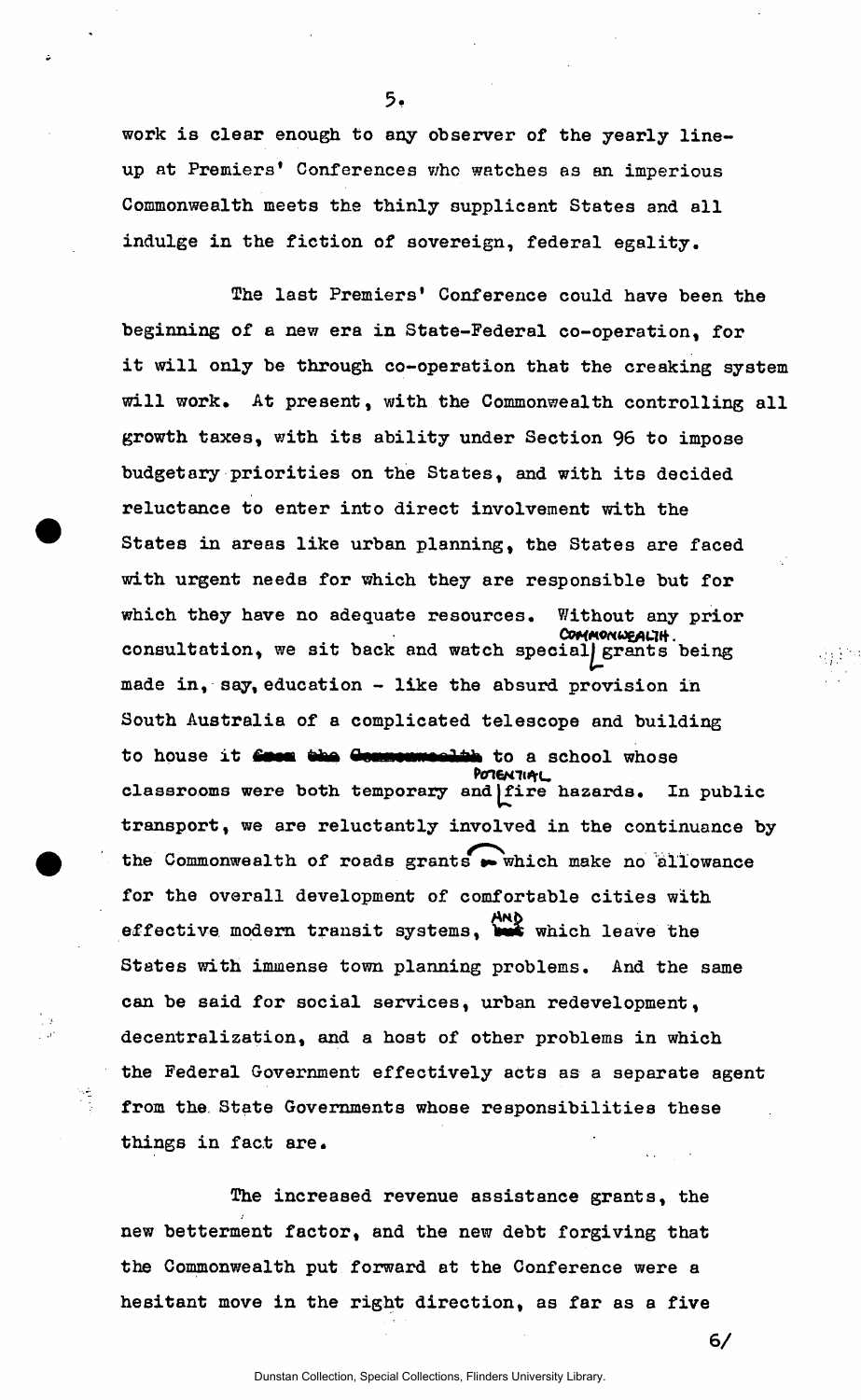work is clear enough to any observer of the yearly lineup at Premiers\* Conferences who watches as an imperious Commonwealth meets the thinly supplicant States and all indulge in the fiction of sovereign, federal egality.

The last Premiers' Conference could have been the beginning of a new era in State-Federal co-operation, for it will only be through co-operation that the creaking system will work. At present, with the Commonwealth controlling all growth taxes, with its ability under Section 96 to impose budgetary priorities on the States, and with its decided reluctance to enter into direct involvement with the States in areas like urban planning, the States are faced with urgent needs for which they are responsible but for which they have no adequate resources. Without any prior COMMONWEALIH.<br>CONSultation, we sit back and watch special grants being made in, say, education - like the absurd provision in South Australia of a complicated telescope and building  $S_{\rm eff}$  of a complication of a complication of a complication of a complication of and building  $\sigma$ to house it get a school whose process it a school whose process is a school whose process in the school whose process is a school whose process in the school whose process is a school whose process in the school whose pro *Pcn&n* i^ru transport, we are reluctantly involved in the continuance by the Commonwealth of roads grants  $\rightarrow$  which make no allowance for the overall development of comfortable cities with effective modern transit systems, which leave the States with immense town planning problems. And the same can be said for social services, urban redevelopment, decentralization, and a host of other problems in which the Federal Government effectively acts as a separate agent from the State Governments whose responsibilities these things in fact are.

 $\frac{1}{\sqrt{2}}$ new betterment factor, and the new debt forgiving that the Commonwealth put forward at the Conference were a hesitant move in the right direction, as far as a five

hesitant move in the right direction, as far as a five

**6/** 

5.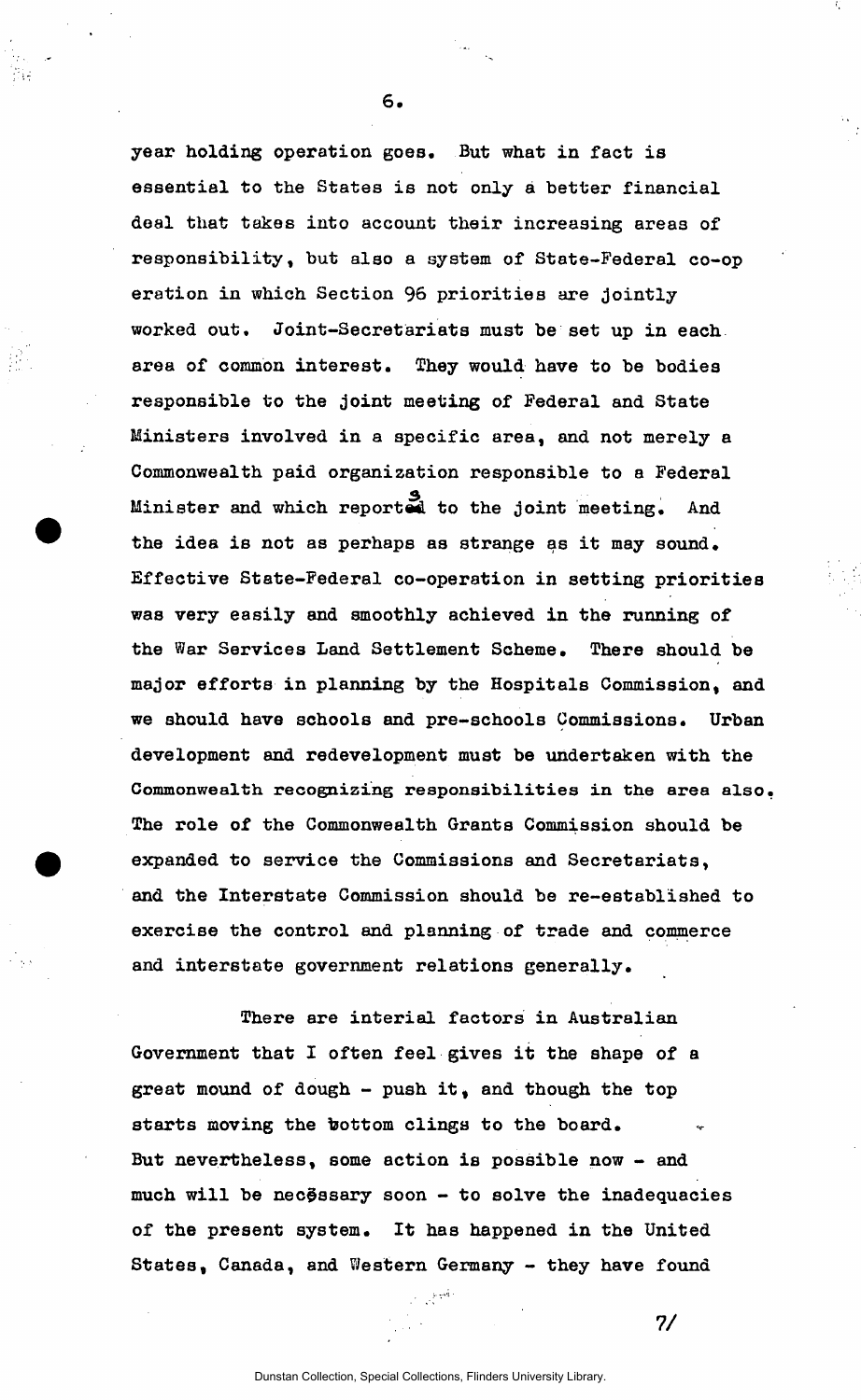year holding operation goes. But what in fact is essential to the States is not only a better financial deal that takes into account their increasing areas of responsibility, but also a system of State-Federal co-op eration in which Section 96 priorities are jointly worked out. Joint-Secretariats must be set up in each area of common interest. They would have to be bodies responsible to the joint meeting of Federal and State Ministers involved in a specific area, and not merely a Commonwealth paid organization responsible to a Federal Minister and which reported to the joint meeting. And the idea is not as perhaps as strange as it may sound. the idea is not as perhaps as strange as strange as it may sound. It may sound the interval as it may sound.  $E_{\rm eff}$  is state-federal co-operation in setting priorities in setting priorities  $\sim$ was very easily and smoothly achieved in the running of the running of the running of the running of the running of the running of the running of the running of the running of the running of the running of the running of t the War Services Land Settlement Settlement Scheme. There should be shown that  $\mathcal{A}$ major efforts in planning by the Hospitals Commission, and we should have schools and pre-schools and pre-schools and pre-schools and pre-schools Commissions. Urban development and redevelopment must be undertaken with the **Commonwealth recognizing responsibilities in the area also**  The role of the common  $\mathcal{C}$  the Commission showledge  $\mathcal{C}$  the  $\mathcal{C}$ expanded to service the Commissions and Secretariats, and the Interstate Commission should be re-established to and the Interstate Commission should be re-established to exercise the control and planning of trade and commerce

**6** 

There are interial factors in Australian Government that I often feel gives it the shape of a great mound of dough - push it, and though the top starts moving the bottom clings to the board. But nevertheless, some action is possible now - and much will be nec $\tilde{\theta}$ ssary soon - to solve the inadequacies of the present system. It has happened in the United States, Canada, and Western Germany - they have found

and interstate government relations generally.

**7/** 

 $\sim$   $^{-1}$